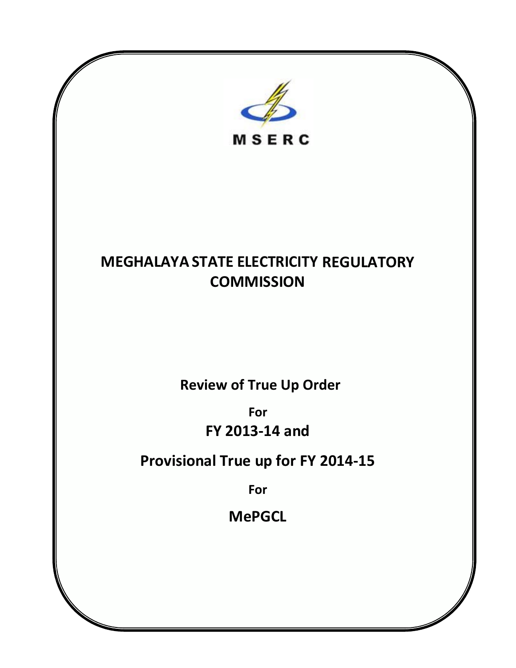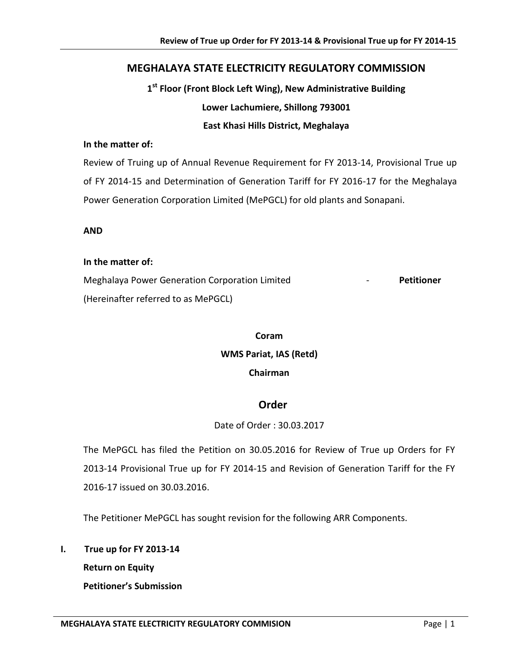## **MEGHALAYA STATE ELECTRICITY REGULATORY COMMISSION**

**1st Floor (Front Block Left Wing), New Administrative Building Lower Lachumiere, Shillong 793001**

## **East Khasi Hills District, Meghalaya**

## **In the matter of:**

Review of Truing up of Annual Revenue Requirement for FY 2013-14, Provisional True up of FY 2014-15 and Determination of Generation Tariff for FY 2016-17 for the Meghalaya Power Generation Corporation Limited (MePGCL) for old plants and Sonapani.

#### **AND**

#### **In the matter of:**

Meghalaya Power Generation Corporation Limited - **Petitioner** (Hereinafter referred to as MePGCL)

# **Coram WMS Pariat, IAS (Retd) Chairman**

## **Order**

## Date of Order : 30.03.2017

The MePGCL has filed the Petition on 30.05.2016 for Review of True up Orders for FY 2013-14 Provisional True up for FY 2014-15 and Revision of Generation Tariff for the FY 2016-17 issued on 30.03.2016.

The Petitioner MePGCL has sought revision for the following ARR Components.

## **I. True up for FY 2013-14**

**Return on Equity** 

**Petitioner's Submission**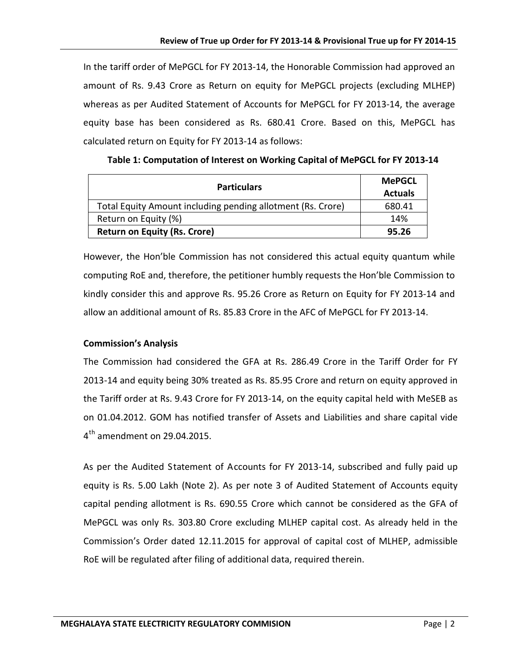In the tariff order of MePGCL for FY 2013-14, the Honorable Commission had approved an amount of Rs. 9.43 Crore as Return on equity for MePGCL projects (excluding MLHEP) whereas as per Audited Statement of Accounts for MePGCL for FY 2013-14, the average equity base has been considered as Rs. 680.41 Crore. Based on this, MePGCL has calculated return on Equity for FY 2013-14 as follows:

| <b>Particulars</b>                                          | <b>MePGCL</b><br><b>Actuals</b> |
|-------------------------------------------------------------|---------------------------------|
| Total Equity Amount including pending allotment (Rs. Crore) | 680.41                          |
| Return on Equity (%)                                        | 14%                             |
| <b>Return on Equity (Rs. Crore)</b>                         | 95.26                           |

**Table 1: Computation of Interest on Working Capital of MePGCL for FY 2013-14**

However, the Hon'ble Commission has not considered this actual equity quantum while computing RoE and, therefore, the petitioner humbly requests the Hon'ble Commission to kindly consider this and approve Rs. 95.26 Crore as Return on Equity for FY 2013-14 and allow an additional amount of Rs. 85.83 Crore in the AFC of MePGCL for FY 2013-14.

## **Commission's Analysis**

The Commission had considered the GFA at Rs. 286.49 Crore in the Tariff Order for FY 2013-14 and equity being 30% treated as Rs. 85.95 Crore and return on equity approved in the Tariff order at Rs. 9.43 Crore for FY 2013-14, on the equity capital held with MeSEB as on 01.04.2012. GOM has notified transfer of Assets and Liabilities and share capital vide  $4<sup>th</sup>$  amendment on 29.04.2015.

As per the Audited Statement of Accounts for FY 2013-14, subscribed and fully paid up equity is Rs. 5.00 Lakh (Note 2). As per note 3 of Audited Statement of Accounts equity capital pending allotment is Rs. 690.55 Crore which cannot be considered as the GFA of MePGCL was only Rs. 303.80 Crore excluding MLHEP capital cost. As already held in the Commission's Order dated 12.11.2015 for approval of capital cost of MLHEP, admissible RoE will be regulated after filing of additional data, required therein.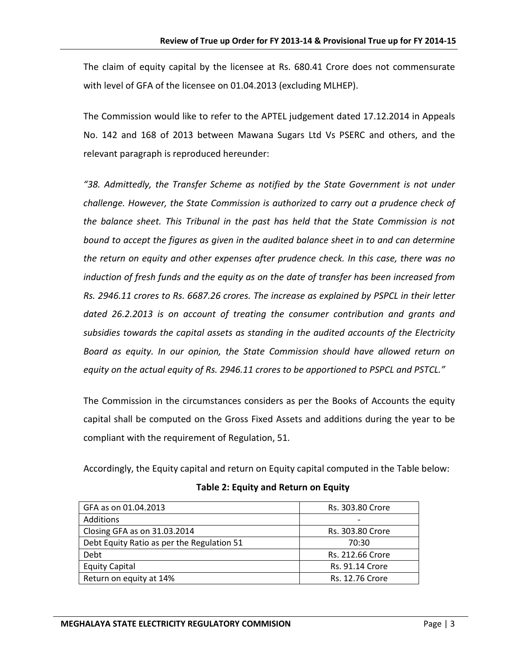The claim of equity capital by the licensee at Rs. 680.41 Crore does not commensurate with level of GFA of the licensee on 01.04.2013 (excluding MLHEP).

The Commission would like to refer to the APTEL judgement dated 17.12.2014 in Appeals No. 142 and 168 of 2013 between Mawana Sugars Ltd Vs PSERC and others, and the relevant paragraph is reproduced hereunder:

*"38. Admittedly, the Transfer Scheme as notified by the State Government is not under challenge. However, the State Commission is authorized to carry out a prudence check of the balance sheet. This Tribunal in the past has held that the State Commission is not bound to accept the figures as given in the audited balance sheet in to and can determine the return on equity and other expenses after prudence check. In this case, there was no induction of fresh funds and the equity as on the date of transfer has been increased from Rs. 2946.11 crores to Rs. 6687.26 crores. The increase as explained by PSPCL in their letter dated 26.2.2013 is on account of treating the consumer contribution and grants and subsidies towards the capital assets as standing in the audited accounts of the Electricity Board as equity. In our opinion, the State Commission should have allowed return on equity on the actual equity of Rs. 2946.11 crores to be apportioned to PSPCL and PSTCL."*

The Commission in the circumstances considers as per the Books of Accounts the equity capital shall be computed on the Gross Fixed Assets and additions during the year to be compliant with the requirement of Regulation, 51.

Accordingly, the Equity capital and return on Equity capital computed in the Table below:

| GFA as on 01.04.2013                       | Rs. 303.80 Crore       |
|--------------------------------------------|------------------------|
| Additions                                  |                        |
| Closing GFA as on 31.03.2014               | Rs. 303.80 Crore       |
| Debt Equity Ratio as per the Regulation 51 | 70:30                  |
| Debt                                       | Rs. 212.66 Crore       |
| <b>Equity Capital</b>                      | <b>Rs. 91.14 Crore</b> |
| Return on equity at 14%                    | <b>Rs. 12.76 Crore</b> |

## **Table 2: Equity and Return on Equity**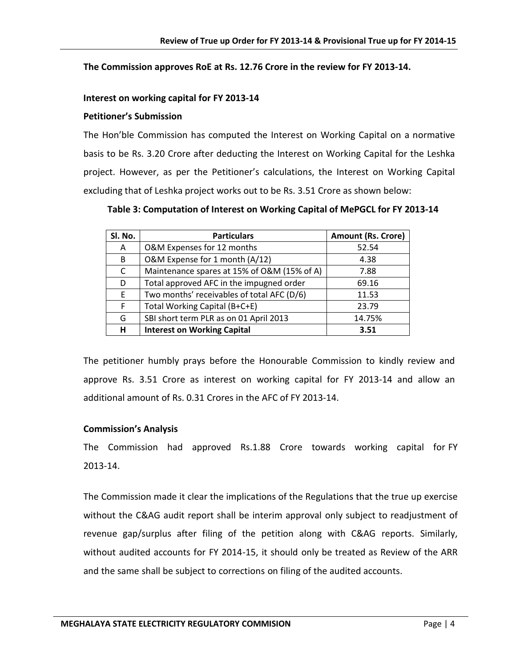#### **The Commission approves RoE at Rs. 12.76 Crore in the review for FY 2013-14.**

#### **Interest on working capital for FY 2013-14**

#### **Petitioner's Submission**

The Hon'ble Commission has computed the Interest on Working Capital on a normative basis to be Rs. 3.20 Crore after deducting the Interest on Working Capital for the Leshka project. However, as per the Petitioner's calculations, the Interest on Working Capital excluding that of Leshka project works out to be Rs. 3.51 Crore as shown below:

**Table 3: Computation of Interest on Working Capital of MePGCL for FY 2013-14**

| Sl. No. | <b>Particulars</b>                          | <b>Amount (Rs. Crore)</b> |
|---------|---------------------------------------------|---------------------------|
| A       | O&M Expenses for 12 months                  | 52.54                     |
| B       | O&M Expense for 1 month (A/12)              | 4.38                      |
| C       | Maintenance spares at 15% of O&M (15% of A) | 7.88                      |
| D       | Total approved AFC in the impugned order    | 69.16                     |
| E       | Two months' receivables of total AFC (D/6)  | 11.53                     |
| F       | Total Working Capital (B+C+E)               | 23.79                     |
| G       | SBI short term PLR as on 01 April 2013      | 14.75%                    |
| н       | <b>Interest on Working Capital</b>          | 3.51                      |

The petitioner humbly prays before the Honourable Commission to kindly review and approve Rs. 3.51 Crore as interest on working capital for FY 2013-14 and allow an additional amount of Rs. 0.31 Crores in the AFC of FY 2013-14.

## **Commission's Analysis**

The Commission had approved Rs.1.88 Crore towards working capital for FY 2013-14.

The Commission made it clear the implications of the Regulations that the true up exercise without the C&AG audit report shall be interim approval only subject to readjustment of revenue gap/surplus after filing of the petition along with C&AG reports. Similarly, without audited accounts for FY 2014-15, it should only be treated as Review of the ARR and the same shall be subject to corrections on filing of the audited accounts.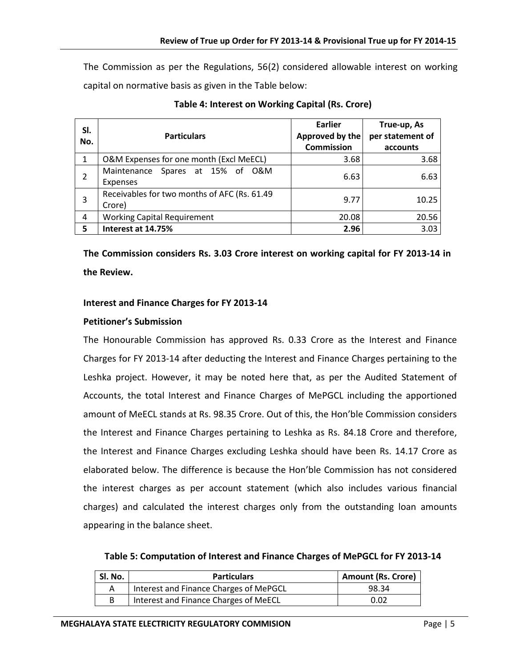The Commission as per the Regulations, 56(2) considered allowable interest on working capital on normative basis as given in the Table below:

| SI.<br>No.   | <b>Particulars</b>                                     | Earlier<br>Approved by the<br><b>Commission</b> | True-up, As<br>per statement of<br>accounts |
|--------------|--------------------------------------------------------|-------------------------------------------------|---------------------------------------------|
| $\mathbf{1}$ | O&M Expenses for one month (Excl MeECL)                | 3.68                                            | 3.68                                        |
|              | Maintenance Spares at 15% of O&M<br>Expenses           | 6.63                                            | 6.63                                        |
| 3            | Receivables for two months of AFC (Rs. 61.49<br>Crore) | 9.77                                            | 10.25                                       |
| 4            | <b>Working Capital Requirement</b>                     | 20.08                                           | 20.56                                       |
| 5            | Interest at 14.75%                                     | 2.96                                            | 3.03                                        |

**Table 4: Interest on Working Capital (Rs. Crore)**

**The Commission considers Rs. 3.03 Crore interest on working capital for FY 2013-14 in the Review.**

#### **Interest and Finance Charges for FY 2013-14**

#### **Petitioner's Submission**

The Honourable Commission has approved Rs. 0.33 Crore as the Interest and Finance Charges for FY 2013-14 after deducting the Interest and Finance Charges pertaining to the Leshka project. However, it may be noted here that, as per the Audited Statement of Accounts, the total Interest and Finance Charges of MePGCL including the apportioned amount of MeECL stands at Rs. 98.35 Crore. Out of this, the Hon'ble Commission considers the Interest and Finance Charges pertaining to Leshka as Rs. 84.18 Crore and therefore, the Interest and Finance Charges excluding Leshka should have been Rs. 14.17 Crore as elaborated below. The difference is because the Hon'ble Commission has not considered the interest charges as per account statement (which also includes various financial charges) and calculated the interest charges only from the outstanding loan amounts appearing in the balance sheet.

**Table 5: Computation of Interest and Finance Charges of MePGCL for FY 2013-14**

| Sl. No. | <b>Particulars</b>                     | <b>Amount (Rs. Crore)</b> |
|---------|----------------------------------------|---------------------------|
|         | Interest and Finance Charges of MePGCL | 98.34                     |
| В       | Interest and Finance Charges of MeECL  | 0.02                      |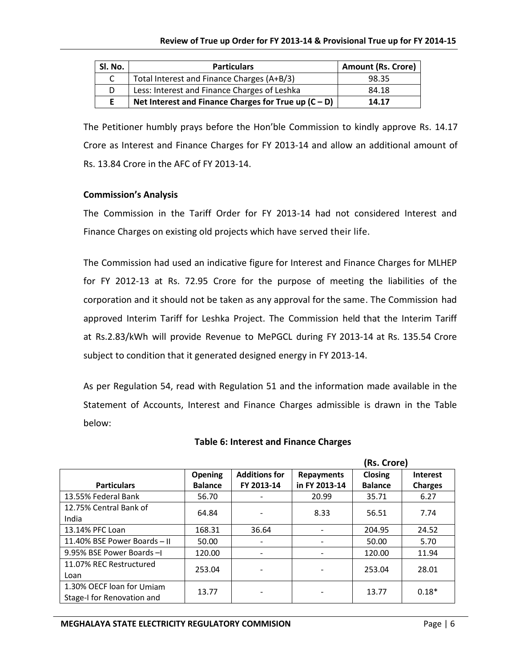| Sl. No. | <b>Particulars</b>                                     | <b>Amount (Rs. Crore)</b> |
|---------|--------------------------------------------------------|---------------------------|
|         | Total Interest and Finance Charges (A+B/3)             | 98.35                     |
| D       | Less: Interest and Finance Charges of Leshka           | 84.18                     |
| F       | Net Interest and Finance Charges for True up $(C - D)$ | 14.17                     |

The Petitioner humbly prays before the Hon'ble Commission to kindly approve Rs. 14.17 Crore as Interest and Finance Charges for FY 2013-14 and allow an additional amount of Rs. 13.84 Crore in the AFC of FY 2013-14.

#### **Commission's Analysis**

The Commission in the Tariff Order for FY 2013-14 had not considered Interest and Finance Charges on existing old projects which have served their life.

The Commission had used an indicative figure for Interest and Finance Charges for MLHEP for FY 2012-13 at Rs. 72.95 Crore for the purpose of meeting the liabilities of the corporation and it should not be taken as any approval for the same. The Commission had approved Interim Tariff for Leshka Project. The Commission held that the Interim Tariff at Rs.2.83/kWh will provide Revenue to MePGCL during FY 2013-14 at Rs. 135.54 Crore subject to condition that it generated designed energy in FY 2013-14.

As per Regulation 54, read with Regulation 51 and the information made available in the Statement of Accounts, Interest and Finance Charges admissible is drawn in the Table below:

|                              |                |                      |                   | (Rs. Crore)    |                 |
|------------------------------|----------------|----------------------|-------------------|----------------|-----------------|
|                              | <b>Opening</b> | <b>Additions for</b> | <b>Repayments</b> | <b>Closing</b> | <b>Interest</b> |
| <b>Particulars</b>           | <b>Balance</b> | FY 2013-14           | in FY 2013-14     | <b>Balance</b> | <b>Charges</b>  |
| 13.55% Federal Bank          | 56.70          |                      | 20.99             | 35.71          | 6.27            |
| 12.75% Central Bank of       | 64.84          |                      | 8.33              | 56.51          | 7.74            |
| India                        |                |                      |                   |                |                 |
| 13.14% PFC Loan              | 168.31         | 36.64                |                   | 204.95         | 24.52           |
| 11.40% BSE Power Boards - II | 50.00          |                      |                   | 50.00          | 5.70            |
| 9.95% BSE Power Boards -I    | 120.00         |                      |                   | 120.00         | 11.94           |
| 11.07% REC Restructured      | 253.04         |                      |                   | 253.04         | 28.01           |
| Loan                         |                |                      |                   |                |                 |
| 1.30% OECF loan for Umiam    | 13.77          |                      |                   | 13.77          | $0.18*$         |
| Stage-I for Renovation and   |                |                      |                   |                |                 |

#### **Table 6: Interest and Finance Charges**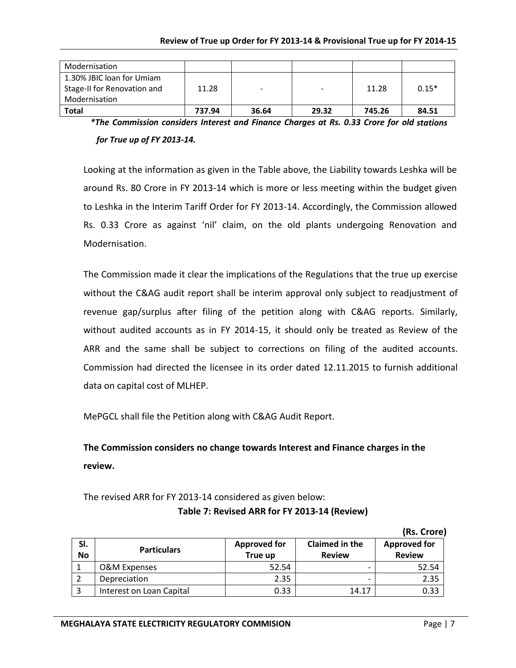| Modernisation               |        |       |                |        |         |
|-----------------------------|--------|-------|----------------|--------|---------|
| 1.30% JBIC loan for Umiam   |        |       |                |        |         |
| Stage-II for Renovation and | 11.28  |       | $\blacksquare$ | 11.28  | $0.15*$ |
| Modernisation               |        |       |                |        |         |
| <b>Total</b>                | 737.94 | 36.64 | 29.32          | 745.26 | 84.51   |

*\*The Commission considers Interest and Finance Charges at Rs. 0.33 Crore for old stations for True up of FY 2013-14.*

Looking at the information as given in the Table above, the Liability towards Leshka will be around Rs. 80 Crore in FY 2013-14 which is more or less meeting within the budget given to Leshka in the Interim Tariff Order for FY 2013-14. Accordingly, the Commission allowed Rs. 0.33 Crore as against 'nil' claim, on the old plants undergoing Renovation and Modernisation.

The Commission made it clear the implications of the Regulations that the true up exercise without the C&AG audit report shall be interim approval only subject to readjustment of revenue gap/surplus after filing of the petition along with C&AG reports. Similarly, without audited accounts as in FY 2014-15, it should only be treated as Review of the ARR and the same shall be subject to corrections on filing of the audited accounts. Commission had directed the licensee in its order dated 12.11.2015 to furnish additional data on capital cost of MLHEP.

MePGCL shall file the Petition along with C&AG Audit Report.

**The Commission considers no change towards Interest and Finance charges in the review.** 

The revised ARR for FY 2013-14 considered as given below: **Table 7: Revised ARR for FY 2013-14 (Review)**

|                  |                          |                                |                                 | .                                    |
|------------------|--------------------------|--------------------------------|---------------------------------|--------------------------------------|
| SI.<br><b>No</b> | <b>Particulars</b>       | <b>Approved for</b><br>True up | Claimed in the<br><b>Review</b> | <b>Approved for</b><br><b>Review</b> |
|                  | O&M Expenses             | 52.54                          |                                 | 52.54                                |
|                  | Depreciation             | 2.35                           |                                 | 2.35                                 |
|                  | Interest on Loan Capital | 0.33                           | 14.17                           | 0.33                                 |

**(Rs. Crore)**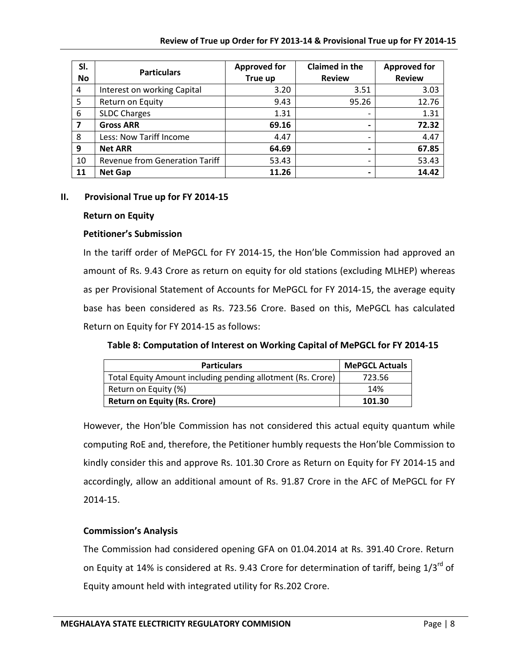| SI.<br><b>No</b>        | <b>Particulars</b>                    | <b>Approved for</b><br>True up | <b>Claimed in the</b><br><b>Review</b> | <b>Approved for</b><br><b>Review</b> |
|-------------------------|---------------------------------------|--------------------------------|----------------------------------------|--------------------------------------|
| $\overline{4}$          | Interest on working Capital           | 3.20                           | 3.51                                   | 3.03                                 |
| 5                       | Return on Equity                      | 9.43                           | 95.26                                  | 12.76                                |
| 6                       | <b>SLDC Charges</b>                   | 1.31                           | $\overline{\phantom{0}}$               | 1.31                                 |
| $\overline{\mathbf{z}}$ | <b>Gross ARR</b>                      | 69.16                          | $\overline{\phantom{0}}$               | 72.32                                |
| 8                       | Less: Now Tariff Income               | 4.47                           | -                                      | 4.47                                 |
| 9                       | <b>Net ARR</b>                        | 64.69                          | $\overline{\phantom{0}}$               | 67.85                                |
| 10                      | <b>Revenue from Generation Tariff</b> | 53.43                          | -                                      | 53.43                                |
| 11                      | <b>Net Gap</b>                        | 11.26                          | $\overline{\phantom{0}}$               | 14.42                                |

#### **II. Provisional True up for FY 2014-15**

#### **Return on Equity**

#### **Petitioner's Submission**

In the tariff order of MePGCL for FY 2014-15, the Hon'ble Commission had approved an amount of Rs. 9.43 Crore as return on equity for old stations (excluding MLHEP) whereas as per Provisional Statement of Accounts for MePGCL for FY 2014-15, the average equity base has been considered as Rs. 723.56 Crore. Based on this, MePGCL has calculated Return on Equity for FY 2014-15 as follows:

## **Table 8: Computation of Interest on Working Capital of MePGCL for FY 2014-15**

| <b>Particulars</b>                                          | <b>MePGCL Actuals</b> |
|-------------------------------------------------------------|-----------------------|
| Total Equity Amount including pending allotment (Rs. Crore) | 723.56                |
| Return on Equity (%)                                        | 14%                   |
| <b>Return on Equity (Rs. Crore)</b>                         | 101.30                |

However, the Hon'ble Commission has not considered this actual equity quantum while computing RoE and, therefore, the Petitioner humbly requests the Hon'ble Commission to kindly consider this and approve Rs. 101.30 Crore as Return on Equity for FY 2014-15 and accordingly, allow an additional amount of Rs. 91.87 Crore in the AFC of MePGCL for FY 2014-15.

## **Commission's Analysis**

The Commission had considered opening GFA on 01.04.2014 at Rs. 391.40 Crore. Return on Equity at 14% is considered at Rs. 9.43 Crore for determination of tariff, being 1/3<sup>rd</sup> of Equity amount held with integrated utility for Rs.202 Crore.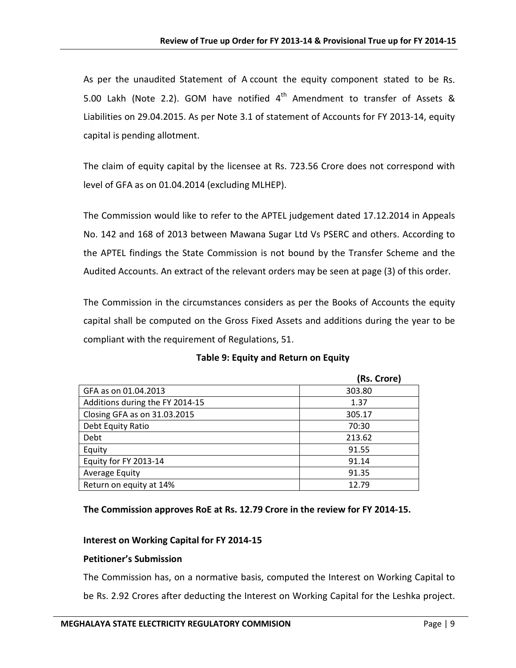As per the unaudited Statement of A ccount the equity component stated to be Rs. 5.00 Lakh (Note 2.2). GOM have notified  $4<sup>th</sup>$  Amendment to transfer of Assets & Liabilities on 29.04.2015. As per Note 3.1 of statement of Accounts for FY 2013-14, equity capital is pending allotment.

The claim of equity capital by the licensee at Rs. 723.56 Crore does not correspond with level of GFA as on 01.04.2014 (excluding MLHEP).

The Commission would like to refer to the APTEL judgement dated 17.12.2014 in Appeals No. 142 and 168 of 2013 between Mawana Sugar Ltd Vs PSERC and others. According to the APTEL findings the State Commission is not bound by the Transfer Scheme and the Audited Accounts. An extract of the relevant orders may be seen at page (3) of this order.

The Commission in the circumstances considers as per the Books of Accounts the equity capital shall be computed on the Gross Fixed Assets and additions during the year to be compliant with the requirement of Regulations, 51.

|                                 | (Rs. Crore) |
|---------------------------------|-------------|
| GFA as on 01.04.2013            | 303.80      |
| Additions during the FY 2014-15 | 1.37        |
| Closing GFA as on 31.03.2015    | 305.17      |
| Debt Equity Ratio               | 70:30       |
| Debt                            | 213.62      |
| Equity                          | 91.55       |
| Equity for FY 2013-14           | 91.14       |
| Average Equity                  | 91.35       |
| Return on equity at 14%         | 12.79       |

#### **Table 9: Equity and Return on Equity**

#### **The Commission approves RoE at Rs. 12.79 Crore in the review for FY 2014-15.**

#### **Interest on Working Capital for FY 2014-15**

#### **Petitioner's Submission**

The Commission has, on a normative basis, computed the Interest on Working Capital to be Rs. 2.92 Crores after deducting the Interest on Working Capital for the Leshka project.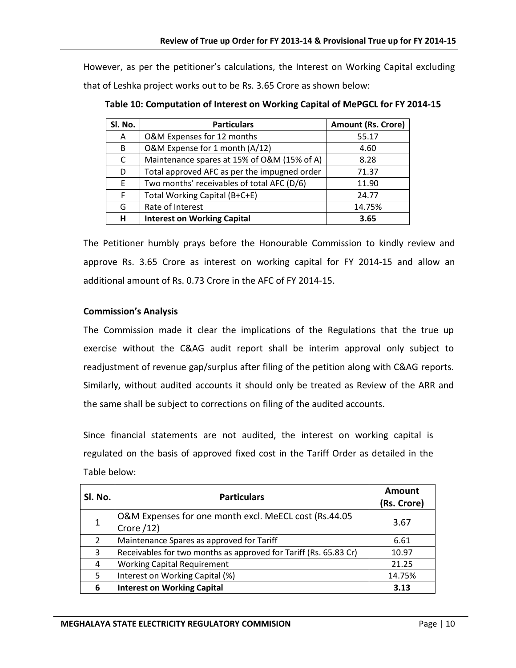However, as per the petitioner's calculations, the Interest on Working Capital excluding that of Leshka project works out to be Rs. 3.65 Crore as shown below:

| Sl. No. | <b>Particulars</b>                           | <b>Amount (Rs. Crore)</b> |
|---------|----------------------------------------------|---------------------------|
| A       | O&M Expenses for 12 months                   | 55.17                     |
| B       | O&M Expense for 1 month (A/12)               | 4.60                      |
| C       | Maintenance spares at 15% of O&M (15% of A)  | 8.28                      |
| D       | Total approved AFC as per the impugned order | 71.37                     |
| E       | Two months' receivables of total AFC (D/6)   | 11.90                     |
| F       | Total Working Capital (B+C+E)                | 24.77                     |
| G       | Rate of Interest                             | 14.75%                    |
| н       | <b>Interest on Working Capital</b>           | 3.65                      |

**Table 10: Computation of Interest on Working Capital of MePGCL for FY 2014-15**

The Petitioner humbly prays before the Honourable Commission to kindly review and approve Rs. 3.65 Crore as interest on working capital for FY 2014-15 and allow an additional amount of Rs. 0.73 Crore in the AFC of FY 2014-15.

## **Commission's Analysis**

The Commission made it clear the implications of the Regulations that the true up exercise without the C&AG audit report shall be interim approval only subject to readjustment of revenue gap/surplus after filing of the petition along with C&AG reports. Similarly, without audited accounts it should only be treated as Review of the ARR and the same shall be subject to corrections on filing of the audited accounts.

Since financial statements are not audited, the interest on working capital is regulated on the basis of approved fixed cost in the Tariff Order as detailed in the Table below:

| SI. No. | <b>Particulars</b>                                                  | Amount<br>(Rs. Crore) |
|---------|---------------------------------------------------------------------|-----------------------|
|         | O&M Expenses for one month excl. MeECL cost (Rs.44.05<br>Crore /12) | 3.67                  |
| 2       | Maintenance Spares as approved for Tariff                           | 6.61                  |
| 3       | Receivables for two months as approved for Tariff (Rs. 65.83 Cr)    | 10.97                 |
| 4       | <b>Working Capital Requirement</b>                                  | 21.25                 |
| 5       | Interest on Working Capital (%)                                     | 14.75%                |
| 6       | <b>Interest on Working Capital</b>                                  | 3.13                  |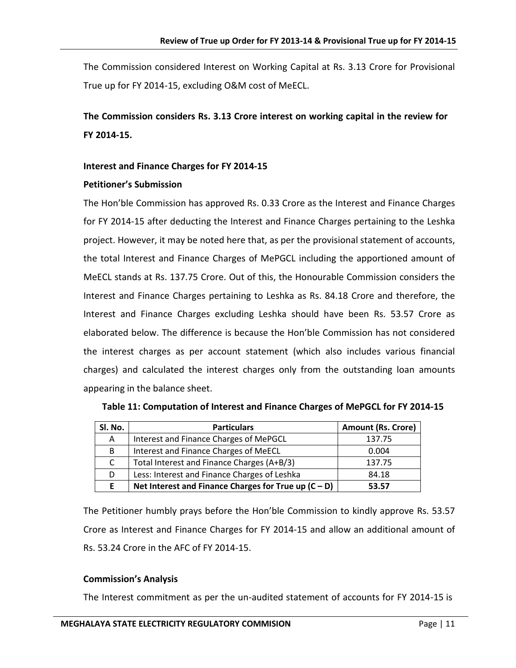The Commission considered Interest on Working Capital at Rs. 3.13 Crore for Provisional True up for FY 2014-15, excluding O&M cost of MeECL.

**The Commission considers Rs. 3.13 Crore interest on working capital in the review for FY 2014-15.**

#### **Interest and Finance Charges for FY 2014-15**

#### **Petitioner's Submission**

The Hon'ble Commission has approved Rs. 0.33 Crore as the Interest and Finance Charges for FY 2014-15 after deducting the Interest and Finance Charges pertaining to the Leshka project. However, it may be noted here that, as per the provisional statement of accounts, the total Interest and Finance Charges of MePGCL including the apportioned amount of MeECL stands at Rs. 137.75 Crore. Out of this, the Honourable Commission considers the Interest and Finance Charges pertaining to Leshka as Rs. 84.18 Crore and therefore, the Interest and Finance Charges excluding Leshka should have been Rs. 53.57 Crore as elaborated below. The difference is because the Hon'ble Commission has not considered the interest charges as per account statement (which also includes various financial charges) and calculated the interest charges only from the outstanding loan amounts appearing in the balance sheet.

| Sl. No. | <b>Particulars</b>                                     | <b>Amount (Rs. Crore)</b> |  |
|---------|--------------------------------------------------------|---------------------------|--|
| A       | Interest and Finance Charges of MePGCL                 | 137.75                    |  |
| B       | Interest and Finance Charges of MeECL                  | 0.004                     |  |
| C       | Total Interest and Finance Charges (A+B/3)             | 137.75                    |  |
| D       | Less: Interest and Finance Charges of Leshka           | 84.18                     |  |
| E       | Net Interest and Finance Charges for True up $(C - D)$ | 53.57                     |  |

**Table 11: Computation of Interest and Finance Charges of MePGCL for FY 2014-15**

The Petitioner humbly prays before the Hon'ble Commission to kindly approve Rs. 53.57 Crore as Interest and Finance Charges for FY 2014-15 and allow an additional amount of Rs. 53.24 Crore in the AFC of FY 2014-15.

## **Commission's Analysis**

The Interest commitment as per the un-audited statement of accounts for FY 2014-15 is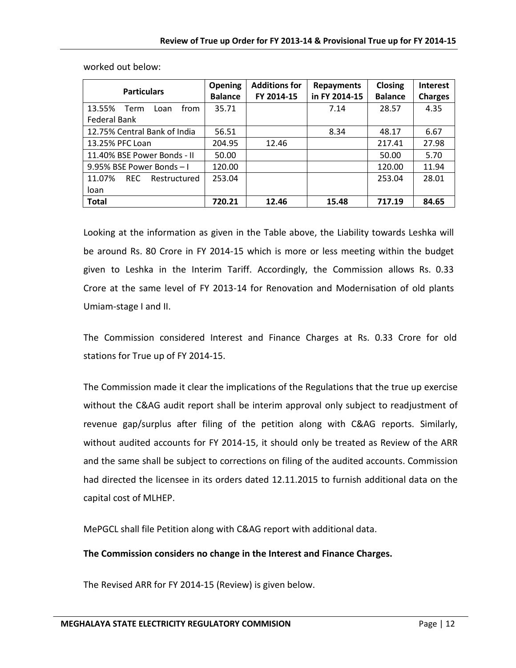| <b>Particulars</b>             | <b>Opening</b> | <b>Additions for</b> | <b>Repayments</b> | Closing        | <b>Interest</b> |
|--------------------------------|----------------|----------------------|-------------------|----------------|-----------------|
|                                | <b>Balance</b> | FY 2014-15           | in FY 2014-15     | <b>Balance</b> | <b>Charges</b>  |
| 13.55%<br>Term<br>Loan<br>from | 35.71          |                      | 7.14              | 28.57          | 4.35            |
| Federal Bank                   |                |                      |                   |                |                 |
| 12.75% Central Bank of India   | 56.51          |                      | 8.34              | 48.17          | 6.67            |
| 13.25% PFC Loan                | 204.95         | 12.46                |                   | 217.41         | 27.98           |
| 11.40% BSE Power Bonds - II    | 50.00          |                      |                   | 50.00          | 5.70            |
| 9.95% BSE Power Bonds-1        | 120.00         |                      |                   | 120.00         | 11.94           |
| 11.07%<br>REC.<br>Restructured | 253.04         |                      |                   | 253.04         | 28.01           |
| loan                           |                |                      |                   |                |                 |
| <b>Total</b>                   | 720.21         | 12.46                | 15.48             | 717.19         | 84.65           |

worked out below:

Looking at the information as given in the Table above, the Liability towards Leshka will be around Rs. 80 Crore in FY 2014-15 which is more or less meeting within the budget given to Leshka in the Interim Tariff. Accordingly, the Commission allows Rs. 0.33 Crore at the same level of FY 2013-14 for Renovation and Modernisation of old plants Umiam-stage I and II.

The Commission considered Interest and Finance Charges at Rs. 0.33 Crore for old stations for True up of FY 2014-15.

The Commission made it clear the implications of the Regulations that the true up exercise without the C&AG audit report shall be interim approval only subject to readjustment of revenue gap/surplus after filing of the petition along with C&AG reports. Similarly, without audited accounts for FY 2014-15, it should only be treated as Review of the ARR and the same shall be subject to corrections on filing of the audited accounts. Commission had directed the licensee in its orders dated 12.11.2015 to furnish additional data on the capital cost of MLHEP.

MePGCL shall file Petition along with C&AG report with additional data.

**The Commission considers no change in the Interest and Finance Charges.**

The Revised ARR for FY 2014-15 (Review) is given below.